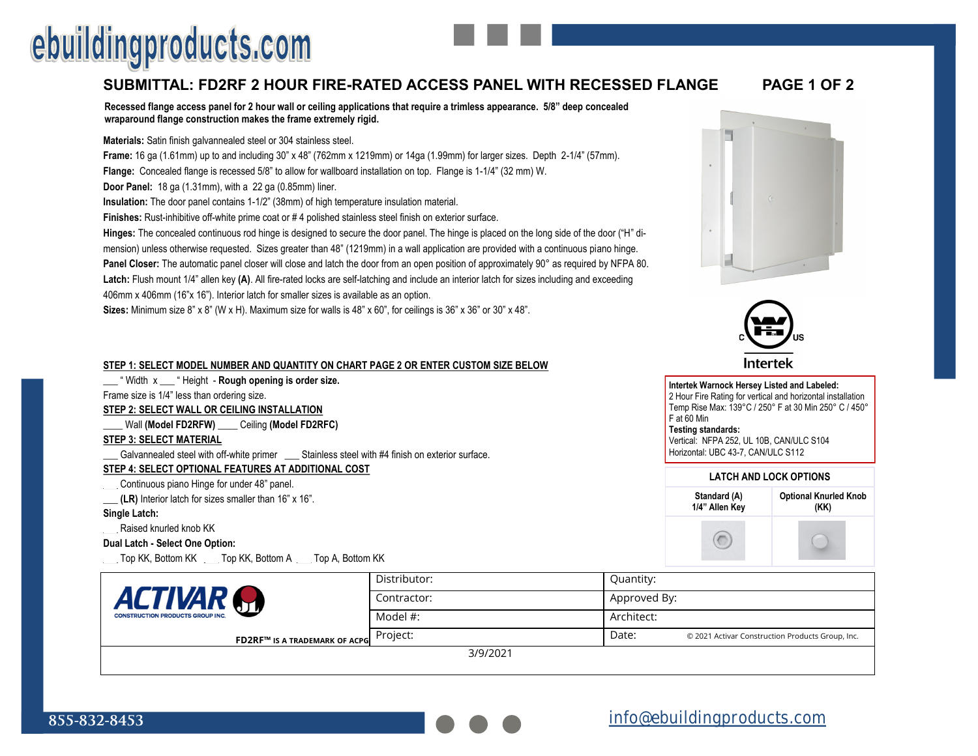# ebuildingproducts.com

### **SUBMITTAL: FD2RF 2 HOUR FIRE-RATED ACCESS PANEL WITH RECESSED FLANGE PAGE 1 OF 2**

**Recessed flange access panel for 2 hour wall or ceiling applications that require a trimless appearance. 5/8" deep concealed wraparound flange construction makes the frame extremely rigid.**

#### **Materials:** Satin finish galvannealed steel or 304 stainless steel.

**Frame:** 16 ga (1.61mm) up to and including 30" x 48" (762mm x 1219mm) or 14ga (1.99mm) for larger sizes. Depth 2-1/4" (57mm).

**Flange:** Concealed flange is recessed 5/8" to allow for wallboard installation on top. Flange is 1-1/4" (32 mm) W.

**Door Panel:** 18 ga (1.31mm), with a 22 ga (0.85mm) liner.

**Insulation:** The door panel contains 1-1/2" (38mm) of high temperature insulation material.

**Finishes:** Rust-inhibitive off-white prime coat or # 4 polished stainless steel finish on exterior surface.

**Hinges:** The concealed continuous rod hinge is designed to secure the door panel. The hinge is placed on the long side of the door ("H" dimension) unless otherwise requested. Sizes greater than 48" (1219mm) in a wall application are provided with a continuous piano hinge. **Panel Closer:** The automatic panel closer will close and latch the door from an open position of approximately 90° as required by NFPA 80. **Latch:** Flush mount 1/4" allen key **(A)**. All fire-rated locks are self-latching and include an interior latch for sizes including and exceeding 406mm x 406mm (16"x 16"). Interior latch for smaller sizes is available as an option.

**Sizes:** Minimum size 8" x 8" (W x H). Maximum size for walls is 48" x 60", for ceilings is 36" x 36" or 30" x 48".

#### **STEP 1: SELECT MODEL NUMBER AND QUANTITY ON CHART PAGE 2 OR ENTER CUSTOM SIZE BELOW**

\_\_\_ " Width x \_\_\_ " Height - **Rough opening is order size.** 

Frame size is 1/4" less than ordering size.

**STEP 2: SELECT WALL OR CEILING INSTALLATION**

\_\_\_\_ Wall **(Model FD2RFW)** \_\_\_\_ Ceiling **(Model FD2RFC)**

### **STEP 3: SELECT MATERIAL**

Galvannealed steel with off-white primer \_\_\_\_ Stainless steel with #4 finish on exterior surface.

**STEP 4: SELECT OPTIONAL FEATURES AT ADDITIONAL COST**

\_\_\_ Continuous piano Hinge for under 48" panel.

**\_\_\_ (LR)** Interior latch for sizes smaller than 16" x 16".

#### **Single Latch:**

**\_\_\_** Raised knurled knob KK

**Dual Latch - Select One Option:** 

**\_\_\_** Top KK, Bottom KK \_\_\_ Top KK, Bottom A \_\_\_ Top A, Bottom KK

|                                         | Distributor: | <b>Quantity:</b>                                          |
|-----------------------------------------|--------------|-----------------------------------------------------------|
| <b>ACTIVAR</b>                          | Contractor:  | Approved By:                                              |
| <b>CONSTRUCTION PRODUCTS GROUP INC.</b> | Model #:     | Architect:                                                |
| <b>FD2RF™ IS A TRADEMARK OF ACPG</b>    | Project:     | Date:<br>© 2021 Activar Construction Products Group, Inc. |
|                                         | 3/9/2021     |                                                           |

3/9/2021



#### Intertek **Intertek Warnock Hersey Listed and Labeled:**  2 Hour Fire Rating for vertical and horizontal installation Temp Rise Max: 139°C / 250° F at 30 Min 250° C / 450° F at 60 Min **Testing standards:**  Vertical: NFPA 252, UL 10B, CAN/ULC S104 Horizontal: UBC 43-7, CAN/ULC S112 **LATCH AND LOCK OPTIONS Optional Knurled Knob Standard (A) 1/4" Allen Key (KK)**

 $(\sqrt{2})$